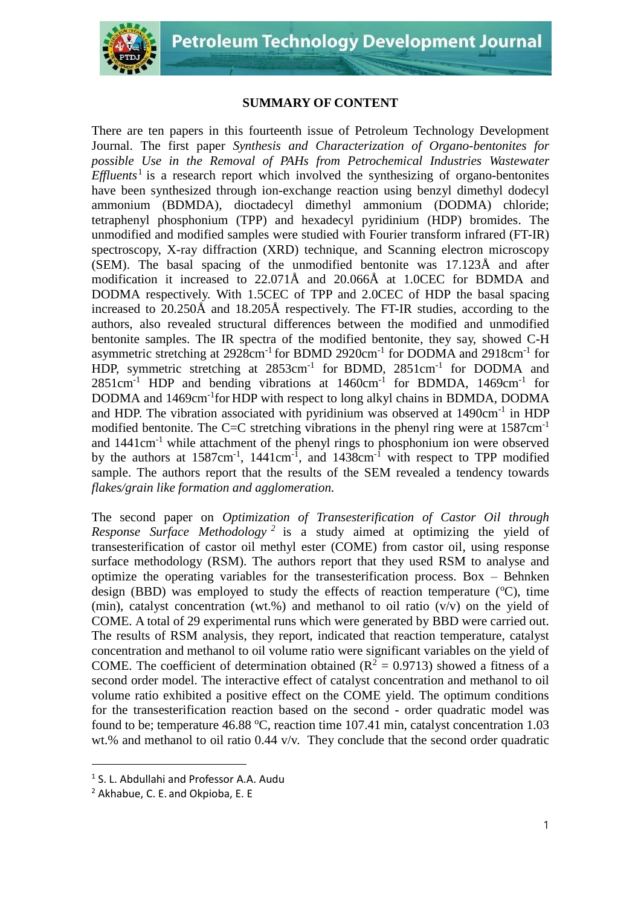

## **SUMMARY OF CONTENT**

There are ten papers in this fourteenth issue of Petroleum Technology Development Journal. The first paper *Synthesis and Characterization of Organo-bentonites for possible Use in the Removal of PAHs from Petrochemical Industries Wastewater Effluents*<sup>1</sup> is a research report which involved the synthesizing of organo-bentonites have been synthesized through ion-exchange reaction using benzyl dimethyl dodecyl ammonium (BDMDA), dioctadecyl dimethyl ammonium (DODMA) chloride; tetraphenyl phosphonium (TPP) and hexadecyl pyridinium (HDP) bromides. The unmodified and modified samples were studied with Fourier transform infrared (FT-IR) spectroscopy, X-ray diffraction (XRD) technique, and Scanning electron microscopy (SEM). The basal spacing of the unmodified bentonite was 17.123Å and after modification it increased to 22.071Å and 20.066Å at 1.0CEC for BDMDA and DODMA respectively. With 1.5CEC of TPP and 2.0CEC of HDP the basal spacing increased to 20.250Å and 18.205Å respectively. The FT-IR studies, according to the authors, also revealed structural differences between the modified and unmodified bentonite samples. The IR spectra of the modified bentonite, they say, showed C-H asymmetric stretching at 2928cm<sup>-1</sup> for BDMD 2920cm<sup>-1</sup> for DODMA and 2918cm<sup>-1</sup> for HDP, symmetric stretching at 2853cm<sup>-1</sup> for BDMD, 2851cm<sup>-1</sup> for DODMA and  $2851 \text{cm}^{-1}$  HDP and bending vibrations at  $1460 \text{cm}^{-1}$  for BDMDA,  $1469 \text{cm}^{-1}$  for DODMA and 1469cm<sup>-1</sup>for HDP with respect to long alkyl chains in BDMDA, DODMA and HDP. The vibration associated with pyridinium was observed at 1490cm<sup>-1</sup> in HDP modified bentonite. The C=C stretching vibrations in the phenyl ring were at  $1587 \text{cm}^{-1}$ and 1441cm-1 while attachment of the phenyl rings to phosphonium ion were observed by the authors at  $1587 \text{cm}^{-1}$ ,  $1441 \text{cm}^{-1}$ , and  $1438 \text{cm}^{-1}$  with respect to TPP modified sample. The authors report that the results of the SEM revealed a tendency towards *flakes/grain like formation and agglomeration.* 

The second paper on *Optimization of Transesterification of Castor Oil through Response Surface Methodology <sup>2</sup>* is a study aimed at optimizing the yield of transesterification of castor oil methyl ester (COME) from castor oil, using response surface methodology (RSM). The authors report that they used RSM to analyse and optimize the operating variables for the transesterification process. Box – Behnken design (BBD) was employed to study the effects of reaction temperature  $(^{\circ}C)$ , time (min), catalyst concentration (wt.%) and methanol to oil ratio  $(v/v)$  on the yield of COME. A total of 29 experimental runs which were generated by BBD were carried out. The results of RSM analysis, they report, indicated that reaction temperature, catalyst concentration and methanol to oil volume ratio were significant variables on the yield of COME. The coefficient of determination obtained ( $\mathbb{R}^2 = 0.9713$ ) showed a fitness of a second order model. The interactive effect of catalyst concentration and methanol to oil volume ratio exhibited a positive effect on the COME yield. The optimum conditions for the transesterification reaction based on the second - order quadratic model was found to be; temperature 46.88  $^{\circ}$ C, reaction time 107.41 min, catalyst concentration 1.03 wt.% and methanol to oil ratio  $0.44$  v/v. They conclude that the second order quadratic

<sup>1</sup> S. L. Abdullahi and Professor A.A. Audu

<sup>2</sup> Akhabue, C. E. and Okpioba, E. E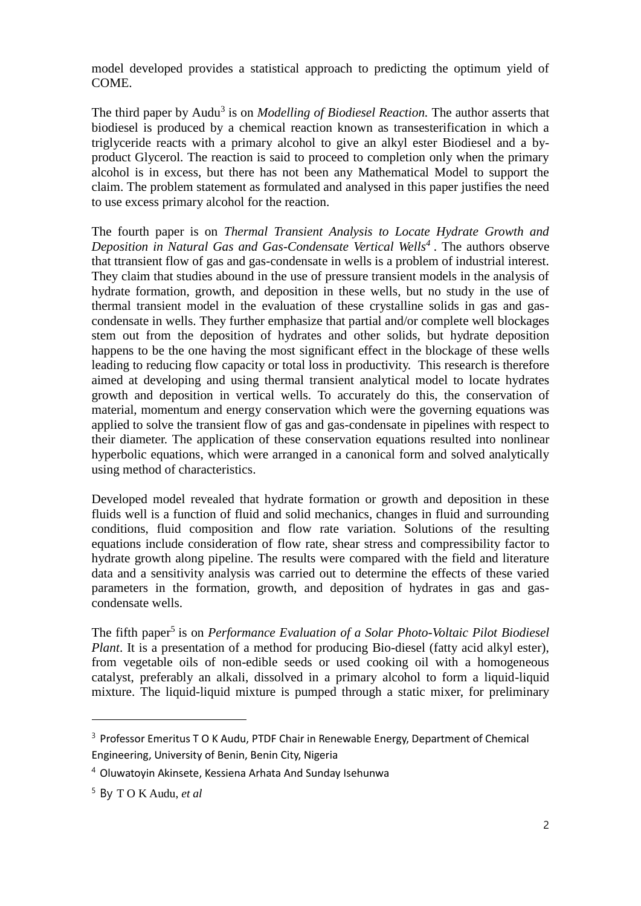model developed provides a statistical approach to predicting the optimum yield of COME.

The third paper by Audu<sup>3</sup> is on *Modelling of Biodiesel Reaction*. The author asserts that biodiesel is produced by a chemical reaction known as transesterification in which a triglyceride reacts with a primary alcohol to give an alkyl ester Biodiesel and a byproduct Glycerol. The reaction is said to proceed to completion only when the primary alcohol is in excess, but there has not been any Mathematical Model to support the claim. The problem statement as formulated and analysed in this paper justifies the need to use excess primary alcohol for the reaction.

The fourth paper is on *Thermal Transient Analysis to Locate Hydrate Growth and Deposition in Natural Gas and Gas-Condensate Vertical Wells<sup>4</sup>* . The authors observe that ttransient flow of gas and gas-condensate in wells is a problem of industrial interest. They claim that studies abound in the use of pressure transient models in the analysis of hydrate formation, growth, and deposition in these wells, but no study in the use of thermal transient model in the evaluation of these crystalline solids in gas and gascondensate in wells. They further emphasize that partial and/or complete well blockages stem out from the deposition of hydrates and other solids, but hydrate deposition happens to be the one having the most significant effect in the blockage of these wells leading to reducing flow capacity or total loss in productivity. This research is therefore aimed at developing and using thermal transient analytical model to locate hydrates growth and deposition in vertical wells. To accurately do this, the conservation of material, momentum and energy conservation which were the governing equations was applied to solve the transient flow of gas and gas-condensate in pipelines with respect to their diameter. The application of these conservation equations resulted into nonlinear hyperbolic equations, which were arranged in a canonical form and solved analytically using method of characteristics.

Developed model revealed that hydrate formation or growth and deposition in these fluids well is a function of fluid and solid mechanics, changes in fluid and surrounding conditions, fluid composition and flow rate variation. Solutions of the resulting equations include consideration of flow rate, shear stress and compressibility factor to hydrate growth along pipeline. The results were compared with the field and literature data and a sensitivity analysis was carried out to determine the effects of these varied parameters in the formation, growth, and deposition of hydrates in gas and gascondensate wells.

The fifth paper<sup>5</sup> is on *Performance Evaluation of a Solar Photo-Voltaic Pilot Biodiesel Plant*. It is a presentation of a method for producing Bio-diesel (fatty acid alkyl ester), from vegetable oils of non-edible seeds or used cooking oil with a homogeneous catalyst, preferably an alkali, dissolved in a primary alcohol to form a liquid-liquid mixture. The liquid-liquid mixture is pumped through a static mixer, for preliminary

<sup>&</sup>lt;sup>3</sup> Professor Emeritus T O K Audu, PTDF Chair in Renewable Energy, Department of Chemical

Engineering, University of Benin, Benin City, Nigeria

<sup>4</sup> Oluwatoyin Akinsete, Kessiena Arhata And Sunday Isehunwa

<sup>5</sup> By T O K Audu, *et al*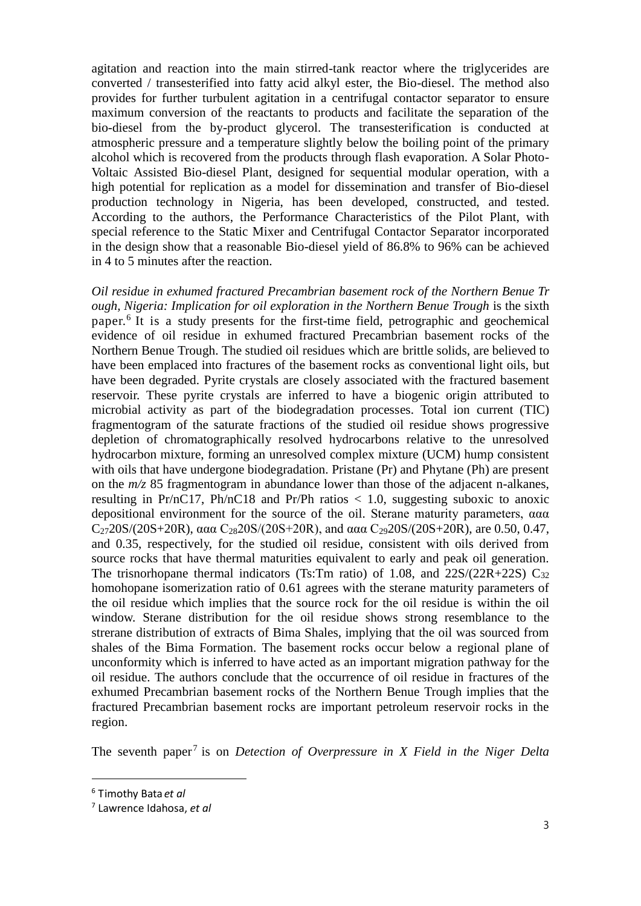agitation and reaction into the main stirred-tank reactor where the triglycerides are converted / transesterified into fatty acid alkyl ester, the Bio-diesel. The method also provides for further turbulent agitation in a centrifugal contactor separator to ensure maximum conversion of the reactants to products and facilitate the separation of the bio-diesel from the by-product glycerol. The transesterification is conducted at atmospheric pressure and a temperature slightly below the boiling point of the primary alcohol which is recovered from the products through flash evaporation. A Solar Photo-Voltaic Assisted Bio-diesel Plant, designed for sequential modular operation, with a high potential for replication as a model for dissemination and transfer of Bio-diesel production technology in Nigeria, has been developed, constructed, and tested. According to the authors, the Performance Characteristics of the Pilot Plant, with special reference to the Static Mixer and Centrifugal Contactor Separator incorporated in the design show that a reasonable Bio-diesel yield of 86.8% to 96% can be achieved in 4 to 5 minutes after the reaction.

*Oil residue in exhumed fractured Precambrian basement rock of the Northern Benue Tr ough, Nigeria: Implication for oil exploration in the Northern Benue Trough* is the sixth paper.<sup>6</sup> It is a study presents for the first-time field, petrographic and geochemical evidence of oil residue in exhumed fractured Precambrian basement rocks of the Northern Benue Trough. The studied oil residues which are brittle solids, are believed to have been emplaced into fractures of the basement rocks as conventional light oils, but have been degraded. Pyrite crystals are closely associated with the fractured basement reservoir. These pyrite crystals are inferred to have a biogenic origin attributed to microbial activity as part of the biodegradation processes. Total ion current (TIC) fragmentogram of the saturate fractions of the studied oil residue shows progressive depletion of chromatographically resolved hydrocarbons relative to the unresolved hydrocarbon mixture, forming an unresolved complex mixture (UCM) hump consistent with oils that have undergone biodegradation. Pristane (Pr) and Phytane (Ph) are present on the *m/z* 85 fragmentogram in abundance lower than those of the adjacent n-alkanes, resulting in Pr/nC17, Ph/nC18 and Pr/Ph ratios  $< 1.0$ , suggesting suboxic to anoxic depositional environment for the source of the oil. Sterane maturity parameters, ααα  $C_{27}$ 20S/(20S+20R), ααα  $C_{28}$ 20S/(20S+20R), and ααα  $C_{29}$ 20S/(20S+20R), are 0.50, 0.47, and 0.35, respectively, for the studied oil residue, consistent with oils derived from source rocks that have thermal maturities equivalent to early and peak oil generation. The trisnorhopane thermal indicators (Ts:Tm ratio) of 1.08, and  $22S/(22R+22S)$  C<sub>32</sub> homohopane isomerization ratio of 0.61 agrees with the sterane maturity parameters of the oil residue which implies that the source rock for the oil residue is within the oil window. Sterane distribution for the oil residue shows strong resemblance to the strerane distribution of extracts of Bima Shales, implying that the oil was sourced from shales of the Bima Formation. The basement rocks occur below a regional plane of unconformity which is inferred to have acted as an important migration pathway for the oil residue. The authors conclude that the occurrence of oil residue in fractures of the exhumed Precambrian basement rocks of the Northern Benue Trough implies that the fractured Precambrian basement rocks are important petroleum reservoir rocks in the region.

The seventh paper<sup>7</sup> is on *Detection of Overpressure in X Field in the Niger Delta* 

<sup>6</sup> Timothy Bata *et al*

<sup>7</sup> Lawrence Idahosa, *et al*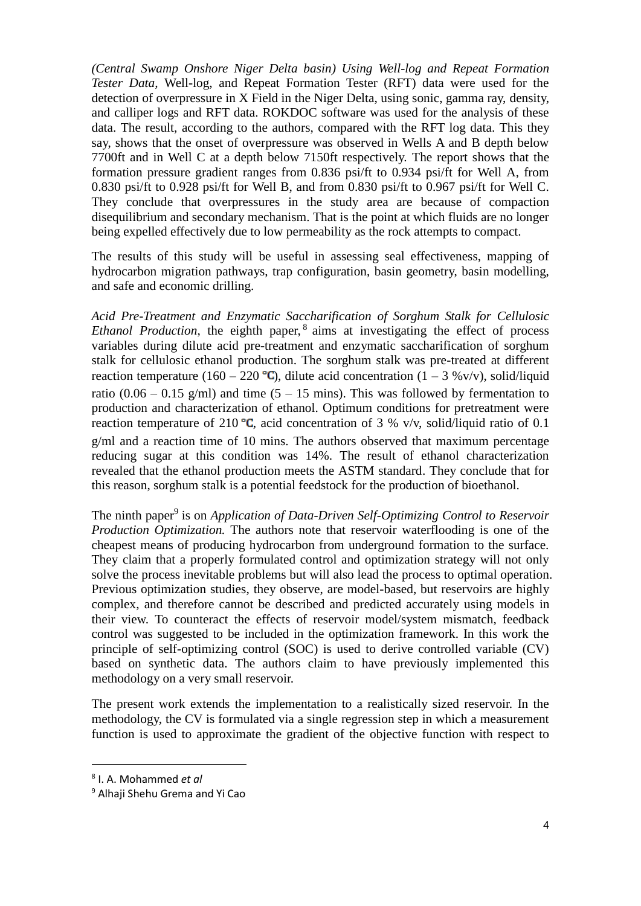*(Central Swamp Onshore Niger Delta basin) Using Well-log and Repeat Formation Tester Data,* Well-log, and Repeat Formation Tester (RFT) data were used for the detection of overpressure in X Field in the Niger Delta, using sonic, gamma ray, density, and calliper logs and RFT data. ROKDOC software was used for the analysis of these data. The result, according to the authors, compared with the RFT log data. This they say, shows that the onset of overpressure was observed in Wells A and B depth below 7700ft and in Well C at a depth below 7150ft respectively. The report shows that the formation pressure gradient ranges from 0.836 psi/ft to 0.934 psi/ft for Well A, from 0.830 psi/ft to 0.928 psi/ft for Well B, and from 0.830 psi/ft to 0.967 psi/ft for Well C. They conclude that overpressures in the study area are because of compaction disequilibrium and secondary mechanism. That is the point at which fluids are no longer being expelled effectively due to low permeability as the rock attempts to compact.

The results of this study will be useful in assessing seal effectiveness, mapping of hydrocarbon migration pathways, trap configuration, basin geometry, basin modelling, and safe and economic drilling.

*Acid Pre-Treatment and Enzymatic Saccharification of Sorghum Stalk for Cellulosic Ethanol Production*, the eighth paper, <sup>8</sup> aims at investigating the effect of process variables during dilute acid pre-treatment and enzymatic saccharification of sorghum stalk for cellulosic ethanol production. The sorghum stalk was pre-treated at different reaction temperature (160 – 220 °C), dilute acid concentration (1 – 3 %v/v), solid/liquid ratio (0.06 – 0.15 g/ml) and time (5 – 15 mins). This was followed by fermentation to production and characterization of ethanol. Optimum conditions for pretreatment were reaction temperature of 210 °C, acid concentration of 3 % v/v, solid/liquid ratio of 0.1 g/ml and a reaction time of 10 mins. The authors observed that maximum percentage reducing sugar at this condition was 14%. The result of ethanol characterization revealed that the ethanol production meets the ASTM standard. They conclude that for this reason, sorghum stalk is a potential feedstock for the production of bioethanol.

The ninth paper<sup>9</sup> is on *Application of Data-Driven Self-Optimizing Control to Reservoir Production Optimization.* The authors note that reservoir waterflooding is one of the cheapest means of producing hydrocarbon from underground formation to the surface. They claim that a properly formulated control and optimization strategy will not only solve the process inevitable problems but will also lead the process to optimal operation. Previous optimization studies, they observe, are model-based, but reservoirs are highly complex, and therefore cannot be described and predicted accurately using models in their view. To counteract the effects of reservoir model/system mismatch, feedback control was suggested to be included in the optimization framework. In this work the principle of self-optimizing control (SOC) is used to derive controlled variable (CV) based on synthetic data. The authors claim to have previously implemented this methodology on a very small reservoir.

The present work extends the implementation to a realistically sized reservoir. In the methodology, the CV is formulated via a single regression step in which a measurement function is used to approximate the gradient of the objective function with respect to

<sup>8</sup> I. A. Mohammed *et al*

<sup>9</sup> Alhaji Shehu Grema and Yi Cao